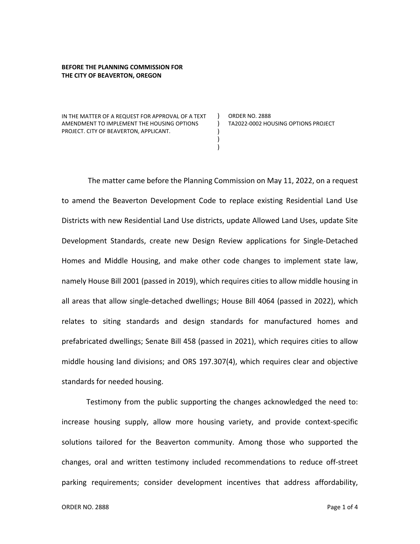## **BEFORE THE PLANNING COMMISSION FOR THE CITY OF BEAVERTON, OREGON**

IN THE MATTER OF A REQUEST FOR APPROVAL OF A TEXT AMENDMENT TO IMPLEMENT THE HOUSING OPTIONS PROJECT. CITY OF BEAVERTON, APPLICANT.

ORDER NO. 2888 TA2022-0002 HOUSING OPTIONS PROJECT

The matter came before the Planning Commission on May 11, 2022, on a request to amend the Beaverton Development Code to replace existing Residential Land Use Districts with new Residential Land Use districts, update Allowed Land Uses, update Site Development Standards, create new Design Review applications for Single-Detached Homes and Middle Housing, and make other code changes to implement state law, namely House Bill 2001 (passed in 2019), which requires cities to allow middle housing in all areas that allow single-detached dwellings; House Bill 4064 (passed in 2022), which relates to siting standards and design standards for manufactured homes and prefabricated dwellings; Senate Bill 458 (passed in 2021), which requires cities to allow middle housing land divisions; and ORS 197.307(4), which requires clear and objective standards for needed housing.

 $)$ ) ) ) )

Testimony from the public supporting the changes acknowledged the need to: increase housing supply, allow more housing variety, and provide context-specific solutions tailored for the Beaverton community. Among those who supported the changes, oral and written testimony included recommendations to reduce off-street parking requirements; consider development incentives that address affordability,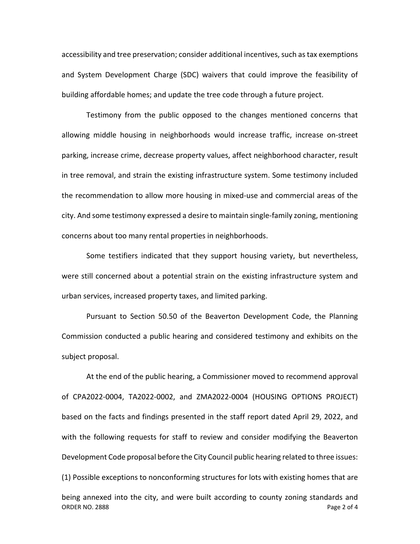accessibility and tree preservation; consider additional incentives, such as tax exemptions and System Development Charge (SDC) waivers that could improve the feasibility of building affordable homes; and update the tree code through a future project.

Testimony from the public opposed to the changes mentioned concerns that allowing middle housing in neighborhoods would increase traffic, increase on-street parking, increase crime, decrease property values, affect neighborhood character, result in tree removal, and strain the existing infrastructure system. Some testimony included the recommendation to allow more housing in mixed-use and commercial areas of the city. And some testimony expressed a desire to maintain single-family zoning, mentioning concerns about too many rental properties in neighborhoods.

Some testifiers indicated that they support housing variety, but nevertheless, were still concerned about a potential strain on the existing infrastructure system and urban services, increased property taxes, and limited parking.

Pursuant to Section 50.50 of the Beaverton Development Code, the Planning Commission conducted a public hearing and considered testimony and exhibits on the subject proposal.

ORDER NO. 2888 **Page 2 of 4** At the end of the public hearing, a Commissioner moved to recommend approval of CPA2022-0004, TA2022-0002, and ZMA2022-0004 (HOUSING OPTIONS PROJECT) based on the facts and findings presented in the staff report dated April 29, 2022, and with the following requests for staff to review and consider modifying the Beaverton Development Code proposal before the City Council public hearing related to three issues: (1) Possible exceptions to nonconforming structures for lots with existing homes that are being annexed into the city, and were built according to county zoning standards and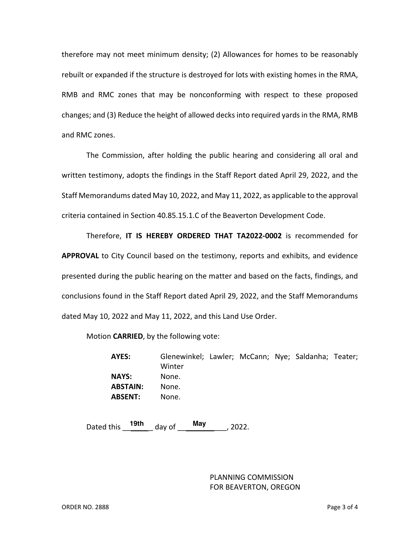therefore may not meet minimum density; (2) Allowances for homes to be reasonably rebuilt or expanded if the structure is destroyed for lots with existing homes in the RMA, RMB and RMC zones that may be nonconforming with respect to these proposed changes; and (3) Reduce the height of allowed decksinto required yards in the RMA, RMB and RMC zones.

The Commission, after holding the public hearing and considering all oral and written testimony, adopts the findings in the Staff Report dated April 29, 2022, and the Staff Memorandums dated May 10, 2022, and May 11, 2022, as applicable to the approval criteria contained in Section 40.85.15.1.C of the Beaverton Development Code.

Therefore, **IT IS HEREBY ORDERED THAT TA2022-0002** is recommended for **APPROVAL** to City Council based on the testimony, reports and exhibits, and evidence presented during the public hearing on the matter and based on the facts, findings, and conclusions found in the Staff Report dated April 29, 2022, and the Staff Memorandums dated May 10, 2022 and May 11, 2022, and this Land Use Order.

Motion **CARRIED**, by the following vote:

**AYES:** Glenewinkel; Lawler; McCann; Nye; Saldanha; Teater; Winter **NAYS:** None. **ABSTAIN:** None. **ABSENT:** None.

Dated this \_\_\_\_\_\_ \_ day of \_\_\_\_\_\_\_\_\_\_\_\_, 2022. **19th May**

PLANNING COMMISSION FOR BEAVERTON, OREGON